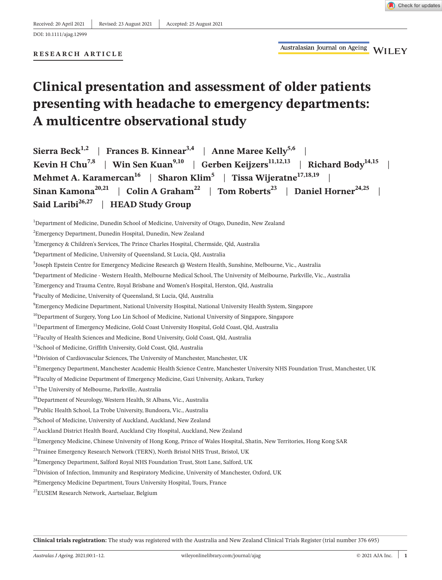# **RESEARCH ARTICLE**

# **Clinical presentation and assessment of older patients presenting with headache to emergency departments: A multicentre observational study**

| Sierra Beck <sup>1,2</sup>   Frances B. Kinnear <sup>3,4</sup>   Anne Maree Kelly <sup>5,6</sup>                                |
|---------------------------------------------------------------------------------------------------------------------------------|
| Kevin H Chu <sup>7,8</sup>   Win Sen Kuan <sup>9,10</sup>   Gerben Keijzers <sup>11,12,13</sup>   Richard Body <sup>14,15</sup> |
| Mehmet A. Karamercan <sup>16</sup>   Sharon Klim <sup>5</sup>   Tissa Wijeratne <sup>17,18,19</sup>                             |
| Sinan Kamona <sup>20,21</sup>   Colin A Graham <sup>22</sup>   Tom Roberts <sup>23</sup>   Daniel Horner <sup>24,25</sup>       |
| Said Laribi <sup>26,27</sup>   HEAD Study Group                                                                                 |

 $^{\rm 1}$ Department of Medicine, Dunedin School of Medicine, University of Otago, Dunedin, New Zealand

- 5 Joseph Epstein Centre for Emergency Medicine Research @ Western Health, Sunshine, Melbourne, Vic., Australia
- 6 Department of Medicine Western Health, Melbourne Medical School, The University of Melbourne, Parkville, Vic., Australia
- $^7$ Emergency and Trauma Centre, Royal Brisbane and Women's Hospital, Herston, Qld, Australia
- 8 Faculty of Medicine, University of Queensland, St Lucia, Qld, Australia
- $^9$ Emergency Medicine Department, National University Hospital, National University Health System, Singapore
- <sup>10</sup>Department of Surgery, Yong Loo Lin School of Medicine, National University of Singapore, Singapore
- <sup>11</sup>Department of Emergency Medicine, Gold Coast University Hospital, Gold Coast, Qld, Australia
- <sup>12</sup>Faculty of Health Sciences and Medicine, Bond University, Gold Coast, Old, Australia
- <sup>13</sup>School of Medicine, Griffith University, Gold Coast, Qld, Australia
- <sup>14</sup>Division of Cardiovascular Sciences, The University of Manchester, Manchester, UK
- <sup>15</sup>Emergency Department, Manchester Academic Health Science Centre, Manchester University NHS Foundation Trust, Manchester, UK

<sup>16</sup>Faculty of Medicine Department of Emergency Medicine, Gazi University, Ankara, Turkey

- <sup>17</sup>The University of Melbourne, Parkville, Australia
- <sup>18</sup>Department of Neurology, Western Health, St Albans, Vic., Australia
- <sup>19</sup>Public Health School, La Trobe University, Bundoora, Vic., Australia

- <sup>22</sup>Emergency Medicine, Chinese University of Hong Kong, Prince of Wales Hospital, Shatin, New Territories, Hong Kong SAR
- <sup>23</sup>Trainee Emergency Research Network (TERN), North Bristol NHS Trust, Bristol, UK
- <sup>24</sup>Emergency Department, Salford Royal NHS Foundation Trust, Stott Lane, Salford, UK
- <sup>25</sup>Division of Infection, Immunity and Respiratory Medicine, University of Manchester, Oxford, UK
- <sup>26</sup>Emergency Medicine Department, Tours University Hospital, Tours, France
- 27EUSEM Research Network, Aartselaar, Belgium

**Clinical trials registration:** The study was registered with the Australia and New Zealand Clinical Trials Register (trial number 376 695)

 ${}^{2}$ Emergency Department, Dunedin Hospital, Dunedin, New Zealand

 $^3$ Emergency & Children's Services, The Prince Charles Hospital, Chermside, Qld, Australia

<sup>4</sup> Department of Medicine, University of Queensland, St Lucia, Qld, Australia

<sup>&</sup>lt;sup>20</sup>School of Medicine, University of Auckland, Auckland, New Zealand

<sup>&</sup>lt;sup>21</sup> Auckland District Health Board, Auckland City Hospital, Auckland, New Zealand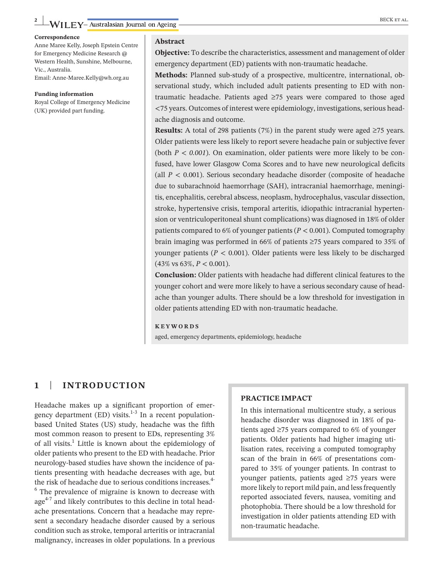#### **Correspondence**

Anne Maree Kelly, Joseph Epstein Centre for Emergency Medicine Research @ Western Health, Sunshine, Melbourne, Vic., Australia.

Email: [Anne-Maree.Kelly@wh.org.au](mailto:Anne-Maree.Kelly@wh.org.au)

#### **Funding information**

Royal College of Emergency Medicine (UK) provided part funding.

#### **Abstract**

**Objective:** To describe the characteristics, assessment and management of older emergency department (ED) patients with non-traumatic headache.

**Methods:** Planned sub-study of a prospective, multicentre, international, observational study, which included adult patients presenting to ED with nontraumatic headache. Patients aged ≥75 years were compared to those aged <75 years. Outcomes of interest were epidemiology, investigations, serious headache diagnosis and outcome.

**Results:** A total of 298 patients (7%) in the parent study were aged ≥75 years. Older patients were less likely to report severe headache pain or subjective fever (both  $P < 0.001$ ). On examination, older patients were more likely to be confused, have lower Glasgow Coma Scores and to have new neurological deficits (all  $P < 0.001$ ). Serious secondary headache disorder (composite of headache due to subarachnoid haemorrhage (SAH), intracranial haemorrhage, meningitis, encephalitis, cerebral abscess, neoplasm, hydrocephalus, vascular dissection, stroke, hypertensive crisis, temporal arteritis, idiopathic intracranial hypertension or ventriculoperitoneal shunt complications) was diagnosed in 18% of older patients compared to 6% of younger patients (*P* < 0.001). Computed tomography brain imaging was performed in 66% of patients ≥75 years compared to 35% of younger patients ( $P < 0.001$ ). Older patients were less likely to be discharged (43% vs 63%, *P* < 0.001).

**Conclusion:** Older patients with headache had different clinical features to the younger cohort and were more likely to have a serious secondary cause of headache than younger adults. There should be a low threshold for investigation in older patients attending ED with non-traumatic headache.

#### **KEYWORDS**

aged, emergency departments, epidemiology, headache

### **1** | **INTRODUCTION**

Headache makes up a significant proportion of emergency department (ED) visits.<sup>1-3</sup> In a recent populationbased United States (US) study, headache was the fifth most common reason to present to EDs, representing 3% of all visits.<sup>1</sup> Little is known about the epidemiology of older patients who present to the ED with headache. Prior neurology-based studies have shown the incidence of patients presenting with headache decreases with age, but the risk of headache due to serious conditions increases.<sup>4-</sup> <sup>6</sup> The prevalence of migraine is known to decrease with age<sup>4-7</sup> and likely contributes to this decline in total headache presentations. Concern that a headache may represent a secondary headache disorder caused by a serious condition such as stroke, temporal arteritis or intracranial malignancy, increases in older populations. In a previous

### **PRACTICE IMPACT**

In this international multicentre study, a serious headache disorder was diagnosed in 18% of patients aged ≥75 years compared to 6% of younger patients. Older patients had higher imaging utilisation rates, receiving a computed tomography scan of the brain in 66% of presentations compared to 35% of younger patients. In contrast to younger patients, patients aged ≥75 years were more likely to report mild pain, and less frequently reported associated fevers, nausea, vomiting and photophobia. There should be a low threshold for investigation in older patients attending ED with non-traumatic headache.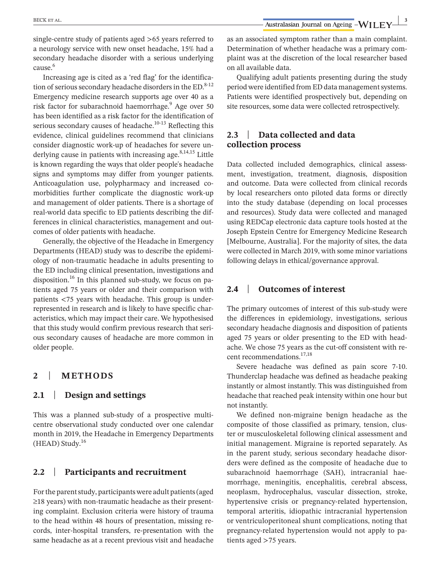single-centre study of patients aged >65 years referred to a neurology service with new onset headache, 15% had a secondary headache disorder with a serious underlying cause.<sup>6</sup>

Increasing age is cited as a 'red flag' for the identification of serious secondary headache disorders in the  $ED.^{8-12}$ Emergency medicine research supports age over 40 as a risk factor for subarachnoid haemorrhage.<sup>9</sup> Age over 50 has been identified as a risk factor for the identification of serious secondary causes of headache. $10-13$  Reflecting this evidence, clinical guidelines recommend that clinicians consider diagnostic work-up of headaches for severe underlying cause in patients with increasing age. $8,14,15$  Little is known regarding the ways that older people's headache signs and symptoms may differ from younger patients. Anticoagulation use, polypharmacy and increased comorbidities further complicate the diagnostic work-up and management of older patients. There is a shortage of real-world data specific to ED patients describing the differences in clinical characteristics, management and outcomes of older patients with headache.

Generally, the objective of the Headache in Emergency Departments (HEAD) study was to describe the epidemiology of non-traumatic headache in adults presenting to the ED including clinical presentation, investigations and disposition.<sup>16</sup> In this planned sub-study, we focus on patients aged 75 years or older and their comparison with patients <75 years with headache. This group is underrepresented in research and is likely to have specific characteristics, which may impact their care. We hypothesised that this study would confirm previous research that serious secondary causes of headache are more common in older people.

# **2** | **METHODS**

### **2.1** | **Design and settings**

This was a planned sub-study of a prospective multicentre observational study conducted over one calendar month in 2019, the Headache in Emergency Departments  $(HEAD)$  Study.<sup>16</sup>

### **2.2** | **Participants and recruitment**

For the parent study, participants were adult patients (aged ≥18 years) with non-traumatic headache as their presenting complaint. Exclusion criteria were history of trauma to the head within 48 hours of presentation, missing records, inter-hospital transfers, re-presentation with the same headache as at a recent previous visit and headache as an associated symptom rather than a main complaint. Determination of whether headache was a primary complaint was at the discretion of the local researcher based on all available data.

Qualifying adult patients presenting during the study period were identified from ED data management systems. Patients were identified prospectively but, depending on site resources, some data were collected retrospectively.

# **2.3** | **Data collected and data collection process**

Data collected included demographics, clinical assessment, investigation, treatment, diagnosis, disposition and outcome. Data were collected from clinical records by local researchers onto piloted data forms or directly into the study database (depending on local processes and resources). Study data were collected and managed using REDCap electronic data capture tools hosted at the Joseph Epstein Centre for Emergency Medicine Research [Melbourne, Australia]. For the majority of sites, the data were collected in March 2019, with some minor variations following delays in ethical/governance approval.

# **2.4** | **Outcomes of interest**

The primary outcomes of interest of this sub-study were the differences in epidemiology, investigations, serious secondary headache diagnosis and disposition of patients aged 75 years or older presenting to the ED with headache. We chose 75 years as the cut-off consistent with recent recommendations.<sup>17,18</sup>

Severe headache was defined as pain score 7-10. Thunderclap headache was defined as headache peaking instantly or almost instantly. This was distinguished from headache that reached peak intensity within one hour but not instantly.

We defined non-migraine benign headache as the composite of those classified as primary, tension, cluster or musculoskeletal following clinical assessment and initial management. Migraine is reported separately. As in the parent study, serious secondary headache disorders were defined as the composite of headache due to subarachnoid haemorrhage (SAH), intracranial haemorrhage, meningitis, encephalitis, cerebral abscess, neoplasm, hydrocephalus, vascular dissection, stroke, hypertensive crisis or pregnancy-related hypertension, temporal arteritis, idiopathic intracranial hypertension or ventriculoperitoneal shunt complications, noting that pregnancy-related hypertension would not apply to patients aged >75 years.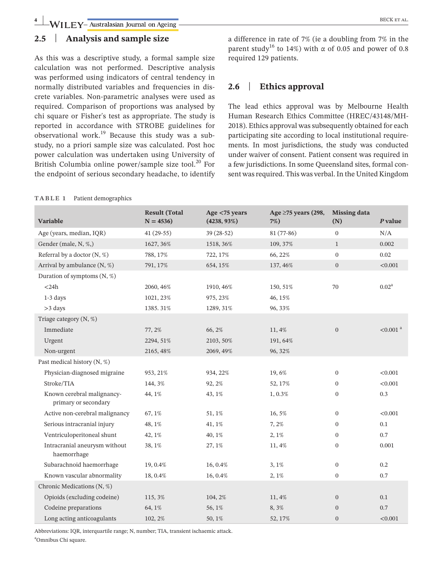**4 WILEY**-Australasian Journal on Ageing **CONSECTED** BECK ET AL.

# **2.5** | **Analysis and sample size**

As this was a descriptive study, a formal sample size calculation was not performed. Descriptive analysis was performed using indicators of central tendency in normally distributed variables and frequencies in discrete variables. Non-parametric analyses were used as required. Comparison of proportions was analysed by chi square or Fisher's test as appropriate. The study is reported in accordance with STROBE guidelines for observational work.19 Because this study was a substudy, no a priori sample size was calculated. Post hoc power calculation was undertaken using University of British Columbia online power/sample size tool. $^{20}$  For the endpoint of serious secondary headache, to identify

#### **TABLE 1** Patient demographics

a difference in rate of 7% (ie a doubling from 7% in the parent study<sup>16</sup> to 14%) with  $\alpha$  of 0.05 and power of 0.8 required 129 patients.

# **2.6** | **Ethics approval**

The lead ethics approval was by Melbourne Health Human Research Ethics Committee (HREC/43148/MH-2018). Ethics approval was subsequently obtained for each participating site according to local institutional requirements. In most jurisdictions, the study was conducted under waiver of consent. Patient consent was required in a few jurisdictions. In some Queensland sites, formal consent was required. This was verbal. In the United Kingdom

| Variable                                           | <b>Result (Total</b><br>$N = 4536$ | Age $<$ 75 years<br>$(4238, 93\%)$ | Age $\geq$ 75 years (298,<br>$7\%)$ | <b>Missing data</b><br>(N) | P value             |
|----------------------------------------------------|------------------------------------|------------------------------------|-------------------------------------|----------------------------|---------------------|
| Age (years, median, IQR)                           | $41(29-55)$                        | 39 (28-52)                         | $81(77-86)$                         | $\mathbf{0}$               | N/A                 |
| Gender (male, N, %,)                               | 1627, 36%                          | 1518, 36%                          | 109, 37%                            | $\mathbf{1}$               | 0.002               |
| Referral by a doctor $(N, %)$                      | 788, 17%                           | 722, 17%                           | 66, 22%                             | $\mathbf{0}$               | 0.02                |
| Arrival by ambulance (N, %)                        | 791, 17%                           | 654, 15%                           | 137, 46%                            | $\mathbf{0}$               | < 0.001             |
| Duration of symptoms $(N, %)$                      |                                    |                                    |                                     |                            |                     |
| $<$ 24 $h$                                         | 2060, 46%                          | 1910, 46%                          | 150, 51%                            | 70                         | $0.02^{\rm a}$      |
| $1-3$ days                                         | 1021, 23%                          | 975, 23%                           | 46, 15%                             |                            |                     |
| $>3$ days                                          | 1385.31%                           | 1289, 31%                          | 96, 33%                             |                            |                     |
| Triage category (N, %)                             |                                    |                                    |                                     |                            |                     |
| Immediate                                          | 77, 2%                             | 66, 2%                             | 11, 4%                              | $\overline{0}$             | $<0.001$ $^{\rm a}$ |
| Urgent                                             | 2294, 51%                          | 2103, 50%                          | 191, 64%                            |                            |                     |
| Non-urgent                                         | 2165, 48%                          | 2069, 49%                          | 96, 32%                             |                            |                     |
| Past medical history (N, %)                        |                                    |                                    |                                     |                            |                     |
| Physician-diagnosed migraine                       | 953, 21%                           | 934, 22%                           | 19,6%                               | $\mathbf{0}$               | < 0.001             |
| Stroke/TIA                                         | 144, 3%                            | 92, 2%                             | 52, 17%                             | $\mathbf{0}$               | < 0.001             |
| Known cerebral malignancy-<br>primary or secondary | 44, 1%                             | 43, 1%                             | 1,0.3%                              | $\boldsymbol{0}$           | 0.3                 |
| Active non-cerebral malignancy                     | 67, 1%                             | 51, 1%                             | 16, 5%                              | $\mathbf{0}$               | < 0.001             |
| Serious intracranial injury                        | 48, 1%                             | 41, 1%                             | 7, 2%                               | $\bf{0}$                   | 0.1                 |
| Ventriculoperitoneal shunt                         | 42, 1%                             | 40, 1%                             | 2, 1%                               | $\bf{0}$                   | 0.7                 |
| Intracranial aneurysm without<br>haemorrhage       | 38, 1%                             | 27, 1%                             | 11, 4%                              | $\boldsymbol{0}$           | 0.001               |
| Subarachnoid haemorrhage                           | 19, 0.4%                           | 16, 0.4%                           | 3,1%                                | $\mathbf{0}$               | 0.2                 |
| Known vascular abnormality                         | 18, 0.4%                           | 16, 0.4%                           | 2, 1%                               | $\boldsymbol{0}$           | $0.7\,$             |
| Chronic Medications (N, %)                         |                                    |                                    |                                     |                            |                     |
| Opioids (excluding codeine)                        | 115, 3%                            | 104, 2%                            | 11, 4%                              | $\mathbf{0}$               | 0.1                 |
| Codeine preparations                               | 64, 1%                             | 56, 1%                             | 8,3%                                | $\mathbf{0}$               | 0.7                 |
| Long acting anticoagulants                         | 102, 2%                            | 50, 1%                             | 52, 17%                             | $\boldsymbol{0}$           | < 0.001             |

Abbreviations: IQR, interquartile range; N, number; TIA, transient ischaemic attack. a Omnibus Chi square.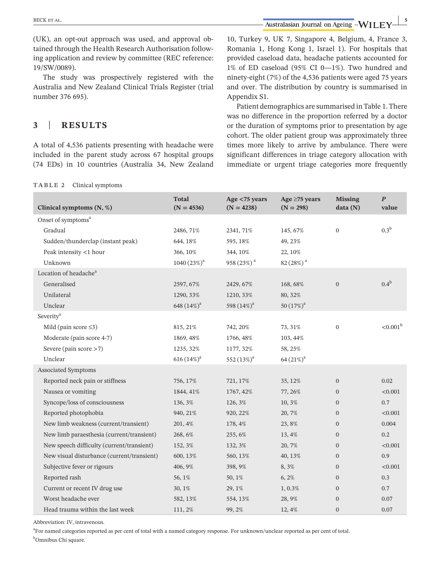**EXECK ET AL.** *BECK ET AL. SECK ET AL. SECK ET AL. SECK ET AL. SECK ET AL. SECK ET AL. SECK ET AL. SECK ET AL. SECK ET AL. SECK ET AL. SECK ET AL. SECK ET AL. SECK ET AL.* 

(UK), an opt-out approach was used, and approval obtained through the Health Research Authorisation following application and review by committee (REC reference: 19/SW/0089).

The study was prospectively registered with the Australia and New Zealand Clinical Trials Register (trial number 376 695).

# **3** | **RESULTS**

A total of 4,536 patients presenting with headache were included in the parent study across 67 hospital groups (74 EDs) in 10 countries (Australia 34, New Zealand 10, Turkey 9, UK 7, Singapore 4, Belgium, 4, France 3, Romania 1, Hong Kong 1, Israel 1). For hospitals that provided caseload data, headache patients accounted for 1% of ED caseload (95% CI 0—1%). Two hundred and ninety-eight (7%) of the 4,536 patients were aged 75 years and over. The distribution by country is summarised in Appendix S1.

Patient demographics are summarised in Table 1. There was no difference in the proportion referred by a doctor or the duration of symptoms prior to presentation by age cohort. The older patient group was approximately three times more likely to arrive by ambulance. There were significant differences in triage category allocation with immediate or urgent triage categories more frequently

| TABLE 2 | Clinical symptoms |
|---------|-------------------|
|---------|-------------------|

| Clinical symptoms (N, %)                   | <b>Total</b><br>$(N = 4536)$ | Age $<$ 75 years<br>$(N = 4238)$ | Age $\geq$ 75 years<br>$(N = 298)$ | <b>Missing</b><br>data(N) | $\boldsymbol{P}$<br>value |
|--------------------------------------------|------------------------------|----------------------------------|------------------------------------|---------------------------|---------------------------|
| Onset of symptoms <sup>a</sup>             |                              |                                  |                                    |                           |                           |
| Gradual                                    | 2486, 71%                    | 2341, 71%                        | 145, 67%                           | $\boldsymbol{0}$          | $0.3^{\rm b}$             |
| Sudden/thunderclap (instant peak)          | 644, 18%                     | 595, 18%                         | 49, 23%                            |                           |                           |
| Peak intensity <1 hour                     | 366, 10%                     | 344, 10%                         | 22, 10%                            |                           |                           |
| Unknown                                    | 1040 $(23%)^a$               | 958 (23%) <sup>a</sup>           | 82 (28%) <sup>a</sup>              |                           |                           |
| Location of headache <sup>a</sup>          |                              |                                  |                                    |                           |                           |
| Generalised                                | 2597, 67%                    | 2429, 67%                        | 168, 68%                           | $\mathbf{0}$              | $0.4^{\rm b}$             |
| Unilateral                                 | 1290, 33%                    | 1210, 33%                        | 80, 32%                            |                           |                           |
| Unclear                                    | 648 (14%) <sup>a</sup>       | 598 $(14\%)^a$                   | 50 $(17\%)^a$                      |                           |                           |
| Severity <sup>a</sup>                      |                              |                                  |                                    |                           |                           |
| Mild (pain score $\leq$ 3)                 | 815, 21%                     | 742, 20%                         | 73, 31%                            | $\mathbf{0}$              | $< 0.001^{\rm b}$         |
| Moderate (pain score 4-7)                  | 1869, 48%                    | 1766, 48%                        | 103, 44%                           |                           |                           |
| Severe (pain score $>7$ )                  | 1235, 32%                    | 1177, 32%                        | 58, 25%                            |                           |                           |
| Unclear                                    | $616(14\%)^a$                | 552 $(13\%)^a$                   | $64(21\%)^a$                       |                           |                           |
| Associated Symptoms                        |                              |                                  |                                    |                           |                           |
| Reported neck pain or stiffness            | 756, 17%                     | 721, 17%                         | 35, 12%                            | $\mathbf{0}$              | 0.02                      |
| Nausea or vomiting                         | 1844, 41%                    | 1767, 42%                        | 77, 26%                            | $\boldsymbol{0}$          | < 0.001                   |
| Syncope/loss of consciousness              | 136, 3%                      | 126, 3%                          | 10,3%                              | $\overline{0}$            | 0.7                       |
| Reported photophobia                       | 940, 21%                     | 920, 22%                         | 20, 7%                             | $\boldsymbol{0}$          | < 0.001                   |
| New limb weakness (current/transient)      | 201, 4%                      | 178, 4%                          | 23,8%                              | $\overline{0}$            | 0.004                     |
| New limb paraesthesia (current/transient)  | 268, 6%                      | 255, 6%                          | 13, 4%                             | $\boldsymbol{0}$          | 0.2                       |
| New speech difficulty (current/transient)  | 152, 3%                      | 132, 3%                          | 20, 7%                             | $\overline{0}$            | < 0.001                   |
| New visual disturbance (current/transient) | 600, 13%                     | 560, 13%                         | 40, 13%                            | $\overline{0}$            | 0.9                       |
| Subjective fever or rigours                | 406, 9%                      | 398, 9%                          | 8,3%                               | $\overline{0}$            | < 0.001                   |
| Reported rash                              | 56, 1%                       | 50, 1%                           | 6,2%                               | $\boldsymbol{0}$          | 0.3                       |
| Current or recent IV drug use              | 30, 1%                       | 29, 1%                           | 1,0.3%                             | $\boldsymbol{0}$          | 0.7                       |
| Worst headache ever                        | 582, 13%                     | 554, 13%                         | 28,9%                              | $\overline{0}$            | 0.07                      |
| Head trauma within the last week           | 111, 2%                      | 99, 2%                           | 12, 4%                             | $\boldsymbol{0}$          | 0.07                      |

Abbreviation: IV, intravenous.

<sup>a</sup>For named categories reported as per cent of total with a named category response. For unknown/unclear reported as per cent of total. <sup>b</sup>Omnibus Chi square.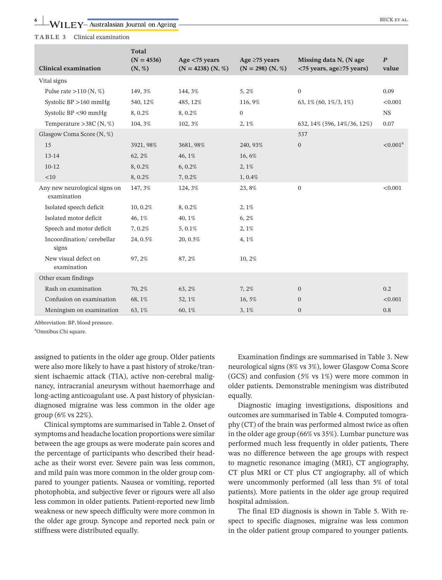**TABLE 3** Clinical examination

| <b>Clinical examination</b>                  | <b>Total</b><br>$(N = 4536)$<br>(N, %) | Age $<$ 75 years<br>$(N = 4238)$ $(N, %)$ | Age $\geq$ 75 years<br>$(N = 298)$ $(N, %)$ | Missing data N, (N age<br>$\langle$ 75 years, age $\ge$ 75 years) | $\boldsymbol{P}$<br>value |
|----------------------------------------------|----------------------------------------|-------------------------------------------|---------------------------------------------|-------------------------------------------------------------------|---------------------------|
| Vital signs                                  |                                        |                                           |                                             |                                                                   |                           |
| Pulse rate $>110$ (N, %)                     | 149, 3%                                | 144, 3%                                   | 5, 2%                                       | $\overline{0}$                                                    | 0.09                      |
| Systolic BP > 160 mmHg                       | 540, 12%                               | 485, 12%                                  | 116, 9%                                     | 63, 1% (60, 1%/3, 1%)                                             | < 0.001                   |
| Systolic BP <90 mmHg                         | 8,0.2%                                 | 8,0.2%                                    | $\mathbf{0}$                                |                                                                   | <b>NS</b>                 |
| Temperature > 38C $(N, %)$                   | 104, 3%                                | 102, 3%                                   | 2, 1%                                       | 632, 14% (596, 14%/36, 12%)                                       | 0.07                      |
| Glasgow Coma Score (N, %)                    |                                        |                                           |                                             | 537                                                               |                           |
| 15                                           | 3921, 98%                              | 3681, 98%                                 | 240, 93%                                    | $\mathbf{0}$                                                      | < 0.001 <sup>a</sup>      |
| 13-14                                        | 62, 2%                                 | 46, 1%                                    | 16,6%                                       |                                                                   |                           |
| $10-12$                                      | 8,0.2%                                 | $6, 0.2\%$                                | 2,1%                                        |                                                                   |                           |
| <10                                          | 8,0.2%                                 | 7,0.2%                                    | 1,0.4%                                      |                                                                   |                           |
| Any new neurological signs on<br>examination | 147, 3%                                | 124, 3%                                   | 23,8%                                       | $\mathbf{0}$                                                      | < 0.001                   |
| Isolated speech deficit                      | 10, 0.2%                               | 8,0.2%                                    | 2, 1%                                       |                                                                   |                           |
| Isolated motor deficit                       | 46, 1%                                 | 40, 1%                                    | 6, 2%                                       |                                                                   |                           |
| Speech and motor deficit                     | 7.0.2%                                 | 5,0.1%                                    | 2, 1%                                       |                                                                   |                           |
| Incoordination/cerebellar<br>signs           | 24, 0.5%                               | 20, 0.5%                                  | 4, 1%                                       |                                                                   |                           |
| New visual defect on<br>examination          | 97, 2%                                 | 87, 2%                                    | 10, 2%                                      |                                                                   |                           |
| Other exam findings                          |                                        |                                           |                                             |                                                                   |                           |
| Rash on examination                          | 70, 2%                                 | 63, 2%                                    | 7, 2%                                       | $\mathbf{0}$                                                      | 0.2                       |
| Confusion on examination                     | 68, 1%                                 | 52, 1%                                    | 16, 5%                                      | $\overline{0}$                                                    | < 0.001                   |
| Meningism on examination                     | 63, 1%                                 | 60, 1%                                    | 3, 1%                                       | $\mathbf{0}$                                                      | 0.8                       |

Abbreviation: BP, blood pressure.

a Omnibus Chi square.

assigned to patients in the older age group. Older patients were also more likely to have a past history of stroke/transient ischaemic attack (TIA), active non-cerebral malignancy, intracranial aneurysm without haemorrhage and long-acting anticoagulant use. A past history of physiciandiagnosed migraine was less common in the older age group (6% vs 22%).

Clinical symptoms are summarised in Table 2. Onset of symptoms and headache location proportions were similar between the age groups as were moderate pain scores and the percentage of participants who described their headache as their worst ever. Severe pain was less common, and mild pain was more common in the older group compared to younger patients. Nausea or vomiting, reported photophobia, and subjective fever or rigours were all also less common in older patients. Patient-reported new limb weakness or new speech difficulty were more common in the older age group. Syncope and reported neck pain or stiffness were distributed equally.

Examination findings are summarised in Table 3. New neurological signs (8% vs 3%), lower Glasgow Coma Score (GCS) and confusion (5% vs 1%) were more common in older patients. Demonstrable meningism was distributed equally.

Diagnostic imaging investigations, dispositions and outcomes are summarised in Table 4. Computed tomography (CT) of the brain was performed almost twice as often in the older age group (66% vs 35%). Lumbar puncture was performed much less frequently in older patients, There was no difference between the age groups with respect to magnetic resonance imaging (MRI), CT angiography, CT plus MRI or CT plus CT angiography, all of which were uncommonly performed (all less than 5% of total patients). More patients in the older age group required hospital admission.

The final ED diagnosis is shown in Table 5. With respect to specific diagnoses, migraine was less common in the older patient group compared to younger patients.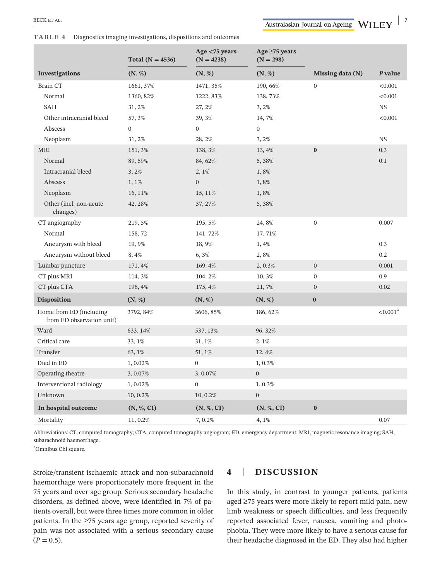**TABLE 4** Diagnostics imaging investigations, dispositions and outcomes

|                                                      | Total ( $N = 4536$ )   | Age <75 years<br>$(N = 4238)$ | Age $\geq$ 75 years<br>$(N = 298)$ |                  |             |
|------------------------------------------------------|------------------------|-------------------------------|------------------------------------|------------------|-------------|
| Investigations                                       | (N, %)                 | (N, %)                        | (N, %)                             | Missing data (N) | P value     |
| <b>Brain CT</b>                                      | 1661, 37%              | 1471, 35%                     | 190, 66%                           | $\boldsymbol{0}$ | < 0.001     |
| Normal                                               | 1360, 82%              | 1222, 83%                     | 138, 73%                           |                  | < 0.001     |
| <b>SAH</b>                                           | 31, 2%                 | 27, 2%                        | 3,2%                               |                  | <b>NS</b>   |
| Other intracranial bleed                             | 57, 3%                 | 39, 3%                        | 14, 7%                             |                  | < 0.001     |
| Abscess                                              | $\boldsymbol{0}$       | $\boldsymbol{0}$              | $\boldsymbol{0}$                   |                  |             |
| Neoplasm                                             | 31, 2%                 | 28, 2%                        | 3,2%                               |                  | <b>NS</b>   |
| MRI                                                  | 151, 3%                | 138, 3%                       | 13, 4%                             | $\pmb{0}$        | 0.3         |
| Normal                                               | 89, 59%                | 84, 62%                       | 5,38%                              |                  | 0.1         |
| Intracranial bleed                                   | 3,2%                   | 2, 1%                         | 1,8%                               |                  |             |
| Abscess                                              | 1,1%                   | $\boldsymbol{0}$              | 1,8%                               |                  |             |
| Neoplasm                                             | 16, 11%                | 15, 11%                       | 1,8%                               |                  |             |
| Other (incl. non-acute<br>changes)                   | 42, 28%                | 37, 27%                       | 5,38%                              |                  |             |
| CT angiography                                       | 219, 5%                | 195, 5%                       | 24,8%                              | $\boldsymbol{0}$ | 0.007       |
| Normal                                               | 158,72                 | 141, 72%                      | 17, 71%                            |                  |             |
| Aneurysm with bleed                                  | 19,9%                  | 18,9%                         | 1, 4%                              |                  | 0.3         |
| Aneurysm without bleed                               | 8,4%                   | 6, 3%                         | 2,8%                               |                  | 0.2         |
| Lumbar puncture                                      | 171, 4%                | 169, 4%                       | 2, 0.3%                            | $\mathbf{0}$     | 0.001       |
| CT plus MRI                                          | 114, 3%                | 104, 2%                       | 10, 3%                             | $\boldsymbol{0}$ | 0.9         |
| CT plus CTA                                          | 196, 4%                | 175, 4%                       | 21,7%                              | $\boldsymbol{0}$ | 0.02        |
| <b>Disposition</b>                                   | (N, %)                 | (N, %)                        | (N, %)                             | $\boldsymbol{0}$ |             |
| Home from ED (including<br>from ED observation unit) | 3792, 84%              | 3606, 85%                     | 186, 62%                           |                  | $< 0.001^a$ |
| Ward                                                 | 633, 14%               | 537, 13%                      | 96, 32%                            |                  |             |
| Critical care                                        | 33, 1%                 | 31, 1%                        | 2, 1%                              |                  |             |
| Transfer                                             | 63, 1%                 | 51, 1%                        | 12, 4%                             |                  |             |
| Died in ED                                           | 1,0.02%                | $\boldsymbol{0}$              | 1,0.3%                             |                  |             |
| Operating theatre                                    | 3, 0.07%               | 3,0.07%                       | $\boldsymbol{0}$                   |                  |             |
| Interventional radiology                             | 1,0.02%                | $\boldsymbol{0}$              | 1,0.3%                             |                  |             |
| Unknown                                              | 10, 0.2%               | 10, 0.2%                      | $\boldsymbol{0}$                   |                  |             |
| In hospital outcome                                  | $(N, \mathcal{C}, CI)$ | (N, %, CI)                    | (N, %, CI)                         | $\bf{0}$         |             |
| Mortality                                            | 11, 0.2%               | 7,0.2%                        | 4, 1%                              |                  | 0.07        |

Abbreviations: CT, computed tomography; CTA, computed tomography angiogram; ED, emergency department; MRI, magnetic resonance imaging; SAH, subarachnoid haemorrhage.

a Omnibus Chi square.

Stroke/transient ischaemic attack and non-subarachnoid haemorrhage were proportionately more frequent in the 75 years and over age group. Serious secondary headache disorders, as defined above, were identified in 7% of patients overall, but were three times more common in older patients. In the ≥75 years age group, reported severity of pain was not associated with a serious secondary cause  $(P = 0.5)$ .

### **4** | **DISCUSSION**

In this study, in contrast to younger patients, patients aged ≥75 years were more likely to report mild pain, new limb weakness or speech difficulties, and less frequently reported associated fever, nausea, vomiting and photophobia. They were more likely to have a serious cause for their headache diagnosed in the ED. They also had higher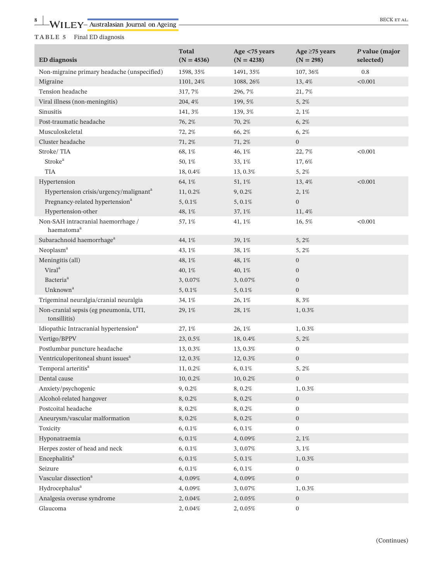### **TABLE 5** Final ED diagnosis

| <b>ED</b> diagnosis                                          | <b>Total</b><br>$(N = 4536)$ | Age $<$ 75 years<br>$(N = 4238)$ | Age $\geq$ 75 years<br>$(N = 298)$ | P value (major<br>selected) |
|--------------------------------------------------------------|------------------------------|----------------------------------|------------------------------------|-----------------------------|
| Non-migraine primary headache (unspecified)                  | 1598, 35%                    | 1491, 35%                        | 107, 36%                           | 0.8                         |
| Migraine                                                     | 1101, 24%                    | 1088, 26%                        | 13,4%                              | < 0.001                     |
| Tension headache                                             | 317, 7%                      | 296, 7%                          | 21,7%                              |                             |
| Viral illness (non-meningitis)                               | 204, 4%                      | 199, 5%                          | 5, 2%                              |                             |
| Sinusitis                                                    | 141, 3%                      | 139, 3%                          | 2, 1%                              |                             |
| Post-traumatic headache                                      | 76, 2%                       | 70, 2%                           | $6, 2\%$                           |                             |
| Musculoskeletal                                              | 72, 2%                       | 66, 2%                           | 6, 2%                              |                             |
| Cluster headache                                             | 71, 2%                       | 71, 2%                           | $\mathbf{0}$                       |                             |
| Stroke/TIA                                                   | 68, 1%                       | 46, 1%                           | 22, 7%                             | < 0.001                     |
| Stroke <sup>a</sup>                                          | 50, 1%                       | 33, 1%                           | 17,6%                              |                             |
| <b>TIA</b>                                                   | 18, 0.4%                     | 13, 0.3%                         | 5, 2%                              |                             |
| Hypertension                                                 | 64, 1%                       | 51, 1%                           | 13,4%                              | < 0.001                     |
| Hypertension crisis/urgency/malignant <sup>a</sup>           | 11, 0.2%                     | 9, 0.2%                          | 2, 1%                              |                             |
| Pregnancy-related hypertension <sup>a</sup>                  | 5, 0.1%                      | 5, 0.1%                          | $\boldsymbol{0}$                   |                             |
| Hypertension-other                                           | 48, 1%                       | 37, 1%                           | 11,4%                              |                             |
| Non-SAH intracranial haemorrhage /<br>haematoma <sup>a</sup> | 57, 1%                       | 41, 1%                           | 16,5%                              | < 0.001                     |
| Subarachnoid haemorrhage <sup>a</sup>                        | 44, 1%                       | 39, 1%                           | 5, 2%                              |                             |
| Neoplasm <sup>a</sup>                                        | 43, 1%                       | 38, 1%                           | 5, 2%                              |                             |
| Meningitis (all)                                             | 48, 1%                       | 48, 1%                           | $\mathbf{0}$                       |                             |
| Viral <sup>a</sup>                                           | 40, 1%                       | 40, 1%                           | $\mathbf{0}$                       |                             |
| Bacteria <sup>a</sup>                                        | 3,0.07%                      | 3, 0.07%                         | $\mathbf{0}$                       |                             |
| Unknown <sup>a</sup>                                         | 5, 0.1%                      | 5, 0.1%                          | $\boldsymbol{0}$                   |                             |
| Trigeminal neuralgia/cranial neuralgia                       | 34, 1%                       | 26, 1%                           | 8,3%                               |                             |
| Non-cranial sepsis (eg pneumonia, UTI,<br>tonsillitis)       | 29, 1%                       | 28, 1%                           | 1, 0.3%                            |                             |
| Idiopathic Intracranial hypertension <sup>a</sup>            | 27, 1%                       | 26, 1%                           | $1,0.3\%$                          |                             |
| Vertigo/BPPV                                                 | 23, 0.5%                     | 18, 0.4%                         | 5, 2%                              |                             |
| Postlumbar puncture headache                                 | 13, 0.3%                     | 13, 0.3%                         | $\mathbf{0}$                       |                             |
| Ventriculoperitoneal shunt issues <sup>a</sup>               | 12, 0.3%                     | 12, 0.3%                         | $\mathbf{0}$                       |                             |
| Temporal arteritis <sup>a</sup>                              | 11, 0.2%                     | 6, 0.1%                          | 5, 2%                              |                             |
| Dental cause                                                 | 10, 0.2%                     | 10, 0.2%                         | $\boldsymbol{0}$                   |                             |
| Anxiety/psychogenic                                          | 9,0.2%                       | 8,0.2%                           | $1,0.3\%$                          |                             |
| Alcohol-related hangover                                     | 8,0.2%                       | 8, 0.2%                          | $\mathbf{0}$                       |                             |
| Postcoital headache                                          | 8,0.2%                       | 8,0.2%                           | $\boldsymbol{0}$                   |                             |
| Aneurysm/vascular malformation                               | 8,0.2%                       | 8, 0.2%                          | $\boldsymbol{0}$                   |                             |
| Toxicity                                                     | $6, 0.1\%$                   | $6, 0.1\%$                       | $\boldsymbol{0}$                   |                             |
| Hyponatraemia                                                | $6, 0.1\%$                   | 4,0.09%                          | 2, 1%                              |                             |
| Herpes zoster of head and neck                               | $6, 0.1\%$                   | 3, 0.07%                         | 3, 1%                              |                             |
| Encephalitis <sup>a</sup>                                    | $6, 0.1\%$                   | $5,0.1\%$                        | 1, 0.3%                            |                             |
| Seizure                                                      | $6, 0.1\%$                   | $6, 0.1\%$                       | $\mathbf{0}$                       |                             |
| Vascular dissection <sup>a</sup>                             | 4,0.09%                      | 4,0.09%                          | $\boldsymbol{0}$                   |                             |
| Hydrocephalus <sup>a</sup>                                   | 4,0.09%                      | 3, 0.07%                         | 1, 0.3%                            |                             |
| Analgesia overuse syndrome                                   | 2,0.04%                      | 2, 0.05%                         | $\mathbf{0}$                       |                             |
| Glaucoma                                                     | 2, 0.04%                     | 2, 0.05%                         | $\boldsymbol{0}$                   |                             |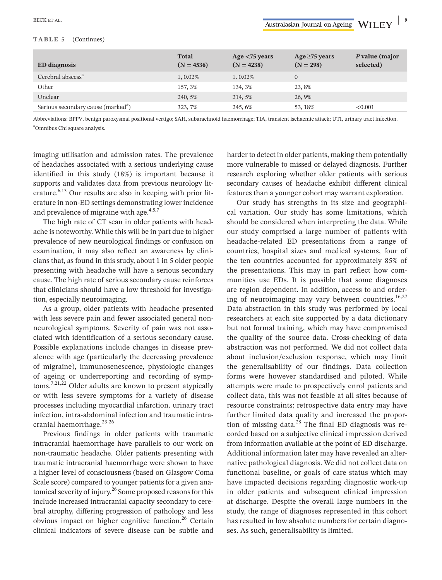### **TABLE 5** (Continues)

| <b>ED</b> diagnosis                            | <b>Total</b><br>$(N = 4536)$ | Age $<$ 75 years<br>$(N = 4238)$ | Age $\geq$ 75 years<br>$(N = 298)$ | P value (major<br>selected) |
|------------------------------------------------|------------------------------|----------------------------------|------------------------------------|-----------------------------|
| Cerebral abscess <sup>a</sup>                  | $1,0.02\%$                   | $1.0.02\%$                       |                                    |                             |
| Other                                          | 157, 3%                      | 134, 3%                          | 23,8%                              |                             |
| Unclear                                        | 240, 5%                      | 214, 5%                          | 26, 9%                             |                             |
| Serious secondary cause (marked <sup>a</sup> ) | 323, 7%                      | 245.6%                           | 53.18%                             | < 0.001                     |

Abbreviations: BPPV, benign paroxysmal positional vertigo; SAH, subarachnoid haemorrhage; TIA, transient ischaemic attack; UTI, urinary tract infection. a Omnibus Chi square analysis.

imaging utilisation and admission rates. The prevalence of headaches associated with a serious underlying cause identified in this study (18%) is important because it supports and validates data from previous neurology literature. $6,13$  Our results are also in keeping with prior literature in non-ED settings demonstrating lower incidence and prevalence of migraine with age. $4,5,7$ 

The high rate of CT scan in older patients with headache is noteworthy. While this will be in part due to higher prevalence of new neurological findings or confusion on examination, it may also reflect an awareness by clinicians that, as found in this study, about 1 in 5 older people presenting with headache will have a serious secondary cause. The high rate of serious secondary cause reinforces that clinicians should have a low threshold for investigation, especially neuroimaging.

As a group, older patients with headache presented with less severe pain and fewer associated general nonneurological symptoms. Severity of pain was not associated with identification of a serious secondary cause. Possible explanations include changes in disease prevalence with age (particularly the decreasing prevalence of migraine), immunosenescence, physiologic changes of ageing or underreporting and recording of symptoms.7,21,22 Older adults are known to present atypically or with less severe symptoms for a variety of disease processes including myocardial infarction, urinary tract infection, intra-abdominal infection and traumatic intracranial haemorrhage.<sup>23-26</sup>

Previous findings in older patients with traumatic intracranial haemorrhage have parallels to our work on non-traumatic headache. Older patients presenting with traumatic intracranial haemorrhage were shown to have a higher level of consciousness (based on Glasgow Coma Scale score) compared to younger patients for a given anatomical severity of injury.<sup>26</sup> Some proposed reasons for this include increased intracranial capacity secondary to cerebral atrophy, differing progression of pathology and less obvious impact on higher cognitive function.<sup>26</sup> Certain clinical indicators of severe disease can be subtle and harder to detect in older patients, making them potentially more vulnerable to missed or delayed diagnosis. Further research exploring whether older patients with serious secondary causes of headache exhibit different clinical features than a younger cohort may warrant exploration.

Our study has strengths in its size and geographical variation. Our study has some limitations, which should be considered when interpreting the data. While our study comprised a large number of patients with headache-related ED presentations from a range of countries, hospital sizes and medical systems, four of the ten countries accounted for approximately 85% of the presentations. This may in part reflect how communities use EDs. It is possible that some diagnoses are region dependent. In addition, access to and ordering of neuroimaging may vary between countries.<sup>16,27</sup> Data abstraction in this study was performed by local researchers at each site supported by a data dictionary but not formal training, which may have compromised the quality of the source data. Cross-checking of data abstraction was not performed. We did not collect data about inclusion/exclusion response, which may limit the generalisability of our findings. Data collection forms were however standardised and piloted. While attempts were made to prospectively enrol patients and collect data, this was not feasible at all sites because of resource constraints; retrospective data entry may have further limited data quality and increased the proportion of missing data.<sup>28</sup> The final ED diagnosis was recorded based on a subjective clinical impression derived from information available at the point of ED discharge. Additional information later may have revealed an alternative pathological diagnosis. We did not collect data on functional baseline, or goals of care status which may have impacted decisions regarding diagnostic work-up in older patients and subsequent clinical impression at discharge. Despite the overall large numbers in the study, the range of diagnoses represented in this cohort has resulted in low absolute numbers for certain diagnoses. As such, generalisability is limited.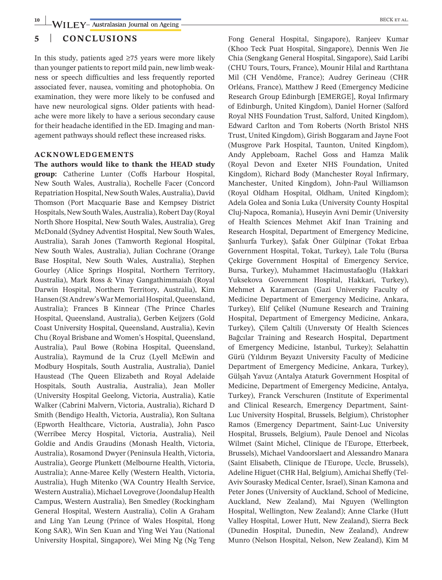### **5** | **CONCLUSIONS**

In this study, patients aged ≥75 years were more likely than younger patients to report mild pain, new limb weakness or speech difficulties and less frequently reported associated fever, nausea, vomiting and photophobia. On examination, they were more likely to be confused and have new neurological signs. Older patients with headache were more likely to have a serious secondary cause for their headache identified in the ED. Imaging and management pathways should reflect these increased risks.

#### **ACKNOWLEDGEMENTS**

**The authors would like to thank the HEAD study group:** Catherine Lunter (Coffs Harbour Hospital, New South Wales, Australia), Rochelle Facer (Concord Repatriation Hospital, New South Wales, Australia), David Thomson (Port Macquarie Base and Kempsey District Hospitals, New South Wales, Australia), Robert Day (Royal North Shore Hospital, New South Wales, Australia), Greg McDonald (Sydney Adventist Hospital, New South Wales, Australia), Sarah Jones (Tamworth Regional Hospital, New South Wales, Australia), Julian Cochrane (Orange Base Hospital, New South Wales, Australia), Stephen Gourley (Alice Springs Hospital, Northern Territory, Australia), Mark Ross & Vinay Gangathimmaiah (Royal Darwin Hospital, Northern Territory, Australia), Kim Hansen (St Andrew's War Memorial Hospital, Queensland, Australia); Frances B Kinnear (The Prince Charles Hospital, Queensland, Australia), Gerben Keijzers (Gold Coast University Hospital, Queensland, Australia), Kevin Chu (Royal Brisbane and Women's Hospital, Queensland, Australia), Paul Bowe (Robina Hospital, Queensland, Australia), Raymund de la Cruz (Lyell McEwin and Modbury Hospitals, South Australia, Australia), Daniel Haustead (The Queen Elizabeth and Royal Adelaide Hospitals, South Australia, Australia), Jean Moller (University Hospital Geelong, Victoria, Australia), Katie Walker (Cabrini Malvern, Victoria, Australia), Richard D Smith (Bendigo Health, Victoria, Australia), Ron Sultana (Epworth Healthcare, Victoria, Australia), John Pasco (Werribee Mercy Hospital, Victoria, Australia), Neil Goldie and Andis Graudins (Monash Health, Victoria, Australia), Rosamond Dwyer (Peninsula Health, Victoria, Australia), George Plunkett (Melbourne Health, Victoria, Australia); Anne-Maree Kelly (Western Health, Victoria, Australia), Hugh Mitenko (WA Country Health Service, Western Australia), Michael Lovegrove (Joondalup Health Campus, Western Australia), Ben Smedley (Rockingham General Hospital, Western Australia), Colin A Graham and Ling Yan Leung (Prince of Wales Hospital, Hong Kong SAR), Win Sen Kuan and Ying Wei Yau (National University Hospital, Singapore), Wei Ming Ng (Ng Teng Fong General Hospital, Singapore), Ranjeev Kumar (Khoo Teck Puat Hospital, Singapore), Dennis Wen Jie Chia (Sengkang General Hospital, Singapore), Said Laribi (CHU Tours, Tours, France), Mounir Hilal and Rarthtana Mil (CH Vendôme, France); Audrey Gerineau (CHR Orléans, France), Matthew J Reed (Emergency Medicine Research Group Edinburgh [EMERGE], Royal Infirmary of Edinburgh, United Kingdom), Daniel Horner (Salford Royal NHS Foundation Trust, Salford, United Kingdom), Edward Carlton and Tom Roberts (North Bristol NHS Trust, United Kingdom), Girish Boggaram and Jayne Foot (Musgrove Park Hospital, Taunton, United Kingdom), Andy Appleboam, Rachel Goss and Hamza Malik (Royal Devon and Exeter NHS Foundation, United Kingdom), Richard Body (Manchester Royal Infirmary, Manchester, United Kingdom), John-Paul Williamson (Royal Oldham Hospital, Oldham, United Kingdom); Adela Golea and Sonia Luka (University County Hospital Cluj-Napoca, Romania), Huseyin Avni Demir (University of Health Sciences Mehmet Akif Inan Training and Research Hospital, Department of Emergency Medicine, Şanlıurfa Turkey), Şafak Öner Gülpinar (Tokat Erbaa Government Hospital, Tokat, Turkey), Lale Tolu (Bursa Çekirge Government Hospital of Emergency Service, Bursa, Turkey), Muhammet Hacimustafaoğlu (Hakkari Yuksekova Government Hospital, Hakkari, Turkey), Mehmet A Karamercan (Gazi University Faculty of Medicine Department of Emergency Medicine, Ankara, Turkey), Elif Çelikel (Numune Research and Training Hospital, Department of Emergency Medicine, Ankara, Turkey), Çilem Çaltili (Unıversıty Of Health Sciences Bağcılar Training and Research Hospital, Department of Emergency Medicine, Istanbul, Turkey); Selahattin Gürü (Yıldırım Beyazıt University Faculty of Medicine Department of Emergency Medicine, Ankara, Turkey), Gülşah Yavuz (Antalya Ataturk Government Hospital of Medicine, Department of Emergency Medicine, Antalya, Turkey), Franck Verschuren (Institute of Experimental and Clinical Research, Emergency Department, Saint-Luc University Hospital, Brussels, Belgium), Christopher Ramos (Emergency Department, Saint-Luc University Hospital, Brussels, Belgium), Paule Denoel and Nicolas Wilmet (Saint Michel, Clinique de l'Europe, Etterbeek, Brussels), Michael Vandoorslaert and Alessandro Manara (Saint Elisabeth, Clinique de l'Europe, Uccle, Brussels), Adeline Higuet (CHR Hal, Belgium), Amichai Sheffy (Tel-Aviv Sourasky Medical Center, Israel), Sinan Kamona and Peter Jones (University of Auckland, School of Medicine, Auckland, New Zealand), Mai Nguyen (Wellington Hospital, Wellington, New Zealand); Anne Clarke (Hutt Valley Hospital, Lower Hutt, New Zealand), Sierra Beck (Dunedin Hospital, Dunedin, New Zealand), Andrew Munro (Nelson Hospital, Nelson, New Zealand), Kim M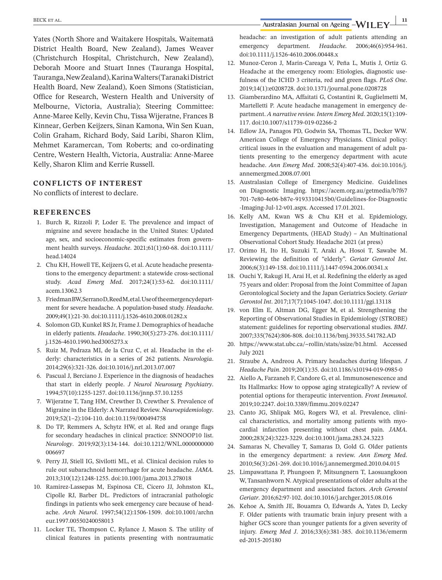**BECK ET AL.** *all BECK ET AL. all BECK ET AL. all BECK ET AL.* **<b>***all BECK ET AL. all BECK ET AL. 11* **<b>F 1** 

Yates (North Shore and Waitakere Hospitals, Waitematā District Health Board, New Zealand), James Weaver (Christchurch Hospital, Christchurch, New Zealand), Deborah Moore and Stuart Innes (Tauranga Hospital, Tauranga, New Zealand), Karina Walters (Taranaki District Health Board, New Zealand), Koen Simons (Statistician, Office for Research, Western Health and University of Melbourne, Victoria, Australia); Steering Committee: Anne-Maree Kelly, Kevin Chu, Tissa Wijeratne, Frances B Kinnear, Gerben Keijzers, Sinan Kamona, Win Sen Kuan, Colin Graham, Richard Body, Said Laribi, Sharon Klim, Mehmet Karamercan, Tom Roberts; and co-ordinating Centre, Western Health, Victoria, Australia: Anne-Maree Kelly, Sharon Klim and Kerrie Russell.

### **CONFLICTS OF INTEREST**

No conflicts of interest to declare.

#### **REFERENCES**

- 1. Burch R, Rizzoli P, Loder E. The prevalence and impact of migraine and severe headache in the United States: Updated age, sex, and socioeconomic-specific estimates from government health surveys. *Headache*. 2021;61(1):60-68. doi[:10.1111/](https://doi.org/10.1111/head.14024) [head.14024](https://doi.org/10.1111/head.14024)
- 2. Chu KH, Howell TE, Keijzers G, et al. Acute headache presentations to the emergency department: a statewide cross-sectional study. *Acad Emerg Med*. 2017;24(1):53-62. doi[:10.1111/](https://doi.org/10.1111/acem.13062.3) [acem.13062.3](https://doi.org/10.1111/acem.13062.3)
- 3. Friedman BW, Serrano D, Reed M, et al. Use of the emergency department for severe headache. A population-based study. *Headache*. 2009;49(1):21-30. doi[:10.1111/j.1526-4610.2008.01282.x](https://doi.org/10.1111/j.1526-4610.2008.01282.x)
- 4. Solomon GD, Kunkel RS Jr, Frame J. Demographics of headache in elderly patients. *Headache*. 1990;30(5):273-276. doi[:10.1111/](https://doi.org/10.1111/j.1526-4610.1990.hed3005273.x) [j.1526-4610.1990.hed3005273.x](https://doi.org/10.1111/j.1526-4610.1990.hed3005273.x)
- 5. Ruiz M, Pedraza MI, de la Cruz C, et al. Headache in the elderly: characteristics in a series of 262 patients. *Neurologia*. 2014;29(6):321-326. doi:[10.1016/j.nrl.2013.07.007](https://doi.org/10.1016/j.nrl.2013.07.007)
- 6. Pascual J, Berciano J. Experience in the diagnosis of headaches that start in elderly people. *J Neurol Neurosurg Psychiatry*. 1994;57(10):1255-1257. doi[:10.1136/jnnp.57.10.1255](https://doi.org/10.1136/jnnp.57.10.1255)
- 7. Wijeratne T, Tang HM, Crewther D, Crewther S. Prevalence of Migraine in the Elderly: A Narrated Review. *Neuroepidemiology*. 2019;52(1–2):104-110. doi[:10.1159/000494758](https://doi.org/10.1159/000494758)
- 8. Do TP, Remmers A, Schytz HW, et al. Red and orange flags for secondary headaches in clinical practice: SNNOOP10 list. *Neurology*. 2019;92(3):134-144. doi:[10.1212/WNL.0000000000](https://doi.org/10.1212/WNL.0000000000006697) [006697](https://doi.org/10.1212/WNL.0000000000006697)
- 9. Perry JJ, Stiell IG, Sivilotti ML, et al. Clinical decision rules to rule out subarachnoid hemorrhage for acute headache. *JAMA*. 2013;310(12):1248-1255. doi:[10.1001/jama.2013.278018](https://doi.org/10.1001/jama.2013.278018)
- 10. Ramirez-Lassepas M, Espinosa CE, Cicero JJ, Johnston KL, Cipolle RJ, Barber DL. Predictors of intracranial pathologic findings in patients who seek emergency care because of headache. *Arch Neurol*. 1997;54(12):1506-1509. doi[:10.1001/archn](https://doi.org/10.1001/archneur.1997.00550240058013) [eur.1997.00550240058013](https://doi.org/10.1001/archneur.1997.00550240058013)
- 11. Locker TE, Thompson C, Rylance J, Mason S. The utility of clinical features in patients presenting with nontraumatic

headache: an investigation of adult patients attending an emergency department. *Headache*. 2006;46(6):954-961. doi[:10.1111/j.1526-4610.2006.00448.x](https://doi.org/10.1111/j.1526-4610.2006.00448.x)

- 12. Munoz-Ceron J, Marin-Careaga V, Peña L, Mutis J, Ortiz G. Headache at the emergency room: Etiologies, diagnostic usefulness of the ICHD 3 criteria, red and green flags. *PLoS One*. 2019;14(1):e0208728. doi[:10.1371/journal.pone.0208728](https://doi.org/10.1371/journal.pone.0208728)
- 13. Giamberardino MA, Affaitati G, Costantini R, Guglielmetti M, Martelletti P. Acute headache management in emergency department. *A narrative review. Intern Emerg Med*. 2020;15(1):109- 117. doi:[10.1007/s11739-019-02266-2](https://doi.org/10.1007/s11739-019-02266-2)
- 14. Edlow JA, Panagos PD, Godwin SA, Thomas TL, Decker WW. American College of Emergency Physicians. Clinical policy: critical issues in the evaluation and management of adult patients presenting to the emergency department with acute headache. *Ann Emerg Med*. 2008;52(4):407-436. doi[:10.1016/j.](https://doi.org/10.1016/j.annemergmed.2008.07.001) [annemergmed.2008.07.001](https://doi.org/10.1016/j.annemergmed.2008.07.001)
- 15. Australasian College of Emergency Medicine. Guidelines on Diagnostic Imaging. [https://acem.org.au/getmedia/b7f67](https://acem.org.au/getmedia/b7f67701-7e80-4e06-b87e-9193310415b0/Guidelines-for-Diagnostic-Imaging-Jul-12-v01.aspx) [701-7e80-4e06-b87e-9193310415b0/Guidelines-for-Diagnostic](https://acem.org.au/getmedia/b7f67701-7e80-4e06-b87e-9193310415b0/Guidelines-for-Diagnostic-Imaging-Jul-12-v01.aspx) [-Imaging-Jul-12-v01.aspx.](https://acem.org.au/getmedia/b7f67701-7e80-4e06-b87e-9193310415b0/Guidelines-for-Diagnostic-Imaging-Jul-12-v01.aspx) Accessed 17.01.2021.
- 16. Kelly AM, Kwan WS & Chu KH et al. Epidemiology, Investigation, Management and Outcome of Headache in Emergency Departments, (HEAD Study) – An Multinational Observational Cohort Study. Headache 2021 (at press)
- 17. Orimo H, Ito H, Suzuki T, Araki A, Hosoi T, Sawabe M. Reviewing the definition of "elderly". *Geriatr Gerontol Int*. 2006;6(3):149-158. doi[:10.1111/j.1447-0594.2006.00341.x](https://doi.org/10.1111/j.1447-0594.2006.00341.x)
- 18. Ouchi Y, Rakugi H, Arai H, et al. Redefining the elderly as aged 75 years and older: Proposal from the Joint Committee of Japan Gerontological Society and the Japan Geriatrics Society. *Geriatr Gerontol Int*. 2017;17(7):1045-1047. doi:[10.1111/ggi.13118](https://doi.org/10.1111/ggi.13118)
- 19. von Elm E, Altman DG, Egger M, et al. Strengthening the Reporting of Observational Studies in Epidemiology (STROBE) statement: guidelines for reporting observational studies. *BMJ*. 2007;335(7624):806-808. doi:[10.1136/bmj.39335.541782.AD](https://doi.org/10.1136/bmj.39335.541782.AD)
- 20. [https://www.stat.ubc.ca/~rollin/stats/ssize/b1.html.](https://www.stat.ubc.ca/%7Erollin/stats/ssize/b1.html) Accessed July 2021
- 21. Straube A, Andreou A. Primary headaches during lifespan. *J Headache Pain*. 2019;20(1):35. doi:[10.1186/s10194-019-0985-0](https://doi.org/10.1186/s10194-019-0985-0)
- 22. Aiello A, Farzaneh F, Candore G, et al. Immunosenescence and Its Hallmarks: How to oppose aging strategically? A review of potential options for therapeutic intervention. *Front Immunol*. 2019;10:2247. doi:[10.3389/fimmu.2019.02247](https://doi.org/10.3389/fimmu.2019.02247)
- 23. Canto JG, Shlipak MG, Rogers WJ, et al. Prevalence, clinical characteristics, and mortality among patients with myocardial infarction presenting without chest pain. *JAMA*. 2000;283(24):3223-3229. doi:[10.1001/jama.283.24.3223](https://doi.org/10.1001/jama.283.24.3223)
- 24. Samaras N, Chevalley T, Samaras D, Gold G. Older patients in the emergency department: a review. *Ann Emerg Med*. 2010;56(3):261-269. doi:[10.1016/j.annemergmed.2010.04.015](https://doi.org/10.1016/j.annemergmed.2010.04.015)
- 25. Limpawattana P, Phungoen P, Mitsungnern T, Laosuangkoon W, Tansanhworn N. Atypical presentations of older adults at the emergency department and associated factors. *Arch Gerontol Geriatr*. 2016;62:97-102. doi:[10.1016/j.archger.2015.08.016](https://doi.org/10.1016/j.archger.2015.08.016)
- 26. Kehoe A, Smith JE, Bouamra O, Edwards A, Yates D, Lecky F. Older patients with traumatic brain injury present with a higher GCS score than younger patients for a given severity of injury. *Emerg Med J*. 2016;33(6):381-385. doi:[10.1136/emerm](https://doi.org/10.1136/emermed-2015-205180) [ed-2015-205180](https://doi.org/10.1136/emermed-2015-205180)